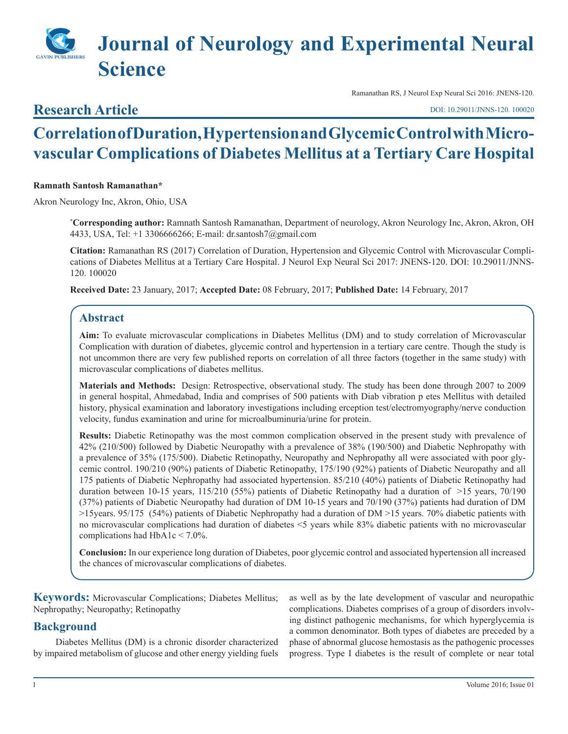# **Journal of Neurology and Experimental Neural Science**

## **Research Article**

Ramanathan RS, J Neurol Exp Neural Sci 2016: JNENS-120.

[DOI: 10.29011/JNNS-120. 100020](http://doi.org/10.29011/JNNS-120. 100020)

# **Correlation of Duration, Hypertension and Glycemic Control with Microvascular Complications of Diabetes Mellitus at a Tertiary Care Hospital**

#### **Ramnath Santosh Ramanathan\***

Akron Neurology Inc, Akron, Ohio, USA

**\* Corresponding author:** Ramnath Santosh Ramanathan, Department of neurology, Akron Neurology Inc, Akron, Akron, OH 4433, USA, Tel: +1 3306666266; E-mail: dr.santosh7@gmail.com

**Citation:** Ramanathan RS (2017) Correlation of Duration, Hypertension and Glycemic Control with Microvascular Complications of Diabetes Mellitus at a Tertiary Care Hospital. J Neurol Exp Neural Sci 2017: JNENS-120. DOI: 10.29011/JNNS-120. 100020

**Received Date:** 23 January, 2017; **Accepted Date:** 08 February, 2017; **Published Date:** 14 February, 2017

### **Abstract**

**Aim:** To evaluate microvascular complications in Diabetes Mellitus (DM) and to study correlation of Microvascular Complication with duration of diabetes, glycemic control and hypertension in a tertiary care centre. Though the study is not uncommon there are very few published reports on correlation of all three factors (together in the same study) with microvascular complications of diabetes mellitus.

**Materials and Methods:** Design: Retrospective, observational study. The study has been done through 2007 to 2009 in general hospital, Ahmedabad, India and comprises of 500 patients with Diab vibration p etes Mellitus with detailed history, physical examination and laboratory investigations including erception test/electromyography/nerve conduction velocity, fundus examination and urine for microalbuminuria/urine for protein.

**Results:** Diabetic Retinopathy was the most common complication observed in the present study with prevalence of 42% (210/500) followed by Diabetic Neuropathy with a prevalence of 38% (190/500) and Diabetic Nephropathy with a prevalence of 35% (175/500). Diabetic Retinopathy, Neuropathy and Nephropathy all were associated with poor glycemic control. 190/210 (90%) patients of Diabetic Retinopathy, 175/190 (92%) patients of Diabetic Neuropathy and all 175 patients of Diabetic Nephropathy had associated hypertension. 85/210 (40%) patients of Diabetic Retinopathy had duration between 10-15 years, 115/210 (55%) patients of Diabetic Retinopathy had a duration of >15 years, 70/190 (37%) patients of Diabetic Neuropathy had duration of DM 10-15 years and 70/190 (37%) patients had duration of DM >15years. 95/175 (54%) patients of Diabetic Nephropathy had a duration of DM >15 years. 70% diabetic patients with no microvascular complications had duration of diabetes <5 years while 83% diabetic patients with no microvascular complications had HbA1c < 7.0%.

**Conclusion:** In our experience long duration of Diabetes, poor glycemic control and associated hypertension all increased the chances of microvascular complications of diabetes.

**Keywords:** Microvascular Complications; Diabetes Mellitus; Nephropathy; Neuropathy; Retinopathy

#### **Background**

Diabetes Mellitus (DM) is a chronic disorder characterized by impaired metabolism of glucose and other energy yielding fuels as well as by the late development of vascular and neuropathic complications. Diabetes comprises of a group of disorders involving distinct pathogenic mechanisms, for which hyperglycemia is a common denominator. Both types of diabetes are preceded by a phase of abnormal glucose hemostasis as the pathogenic processes progress. Type I diabetes is the result of complete or near total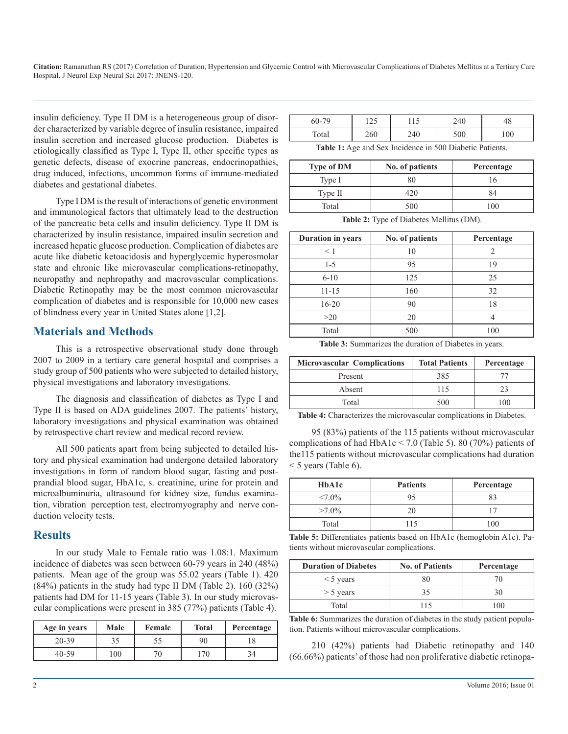insulin deficiency. Type II DM is a heterogeneous group of disorder characterized by variable degree of insulin resistance, impaired insulin secretion and increased glucose production. Diabetes is etiologically classified as Type I, Type II, other specific types as genetic defects, disease of exocrine pancreas, endocrinopathies, drug induced, infections, uncommon forms of immune-mediated diabetes and gestational diabetes.

Type I DM is the result of interactions of genetic environment and immunological factors that ultimately lead to the destruction of the pancreatic beta cells and insulin deficiency. Type II DM is characterized by insulin resistance, impaired insulin secretion and increased hepatic glucose production. Complication of diabetes are acute like diabetic ketoacidosis and hyperglycemic hyperosmolar state and chronic like microvascular complications-retinopathy, neuropathy and nephropathy and macrovascular complications. Diabetic Retinopathy may be the most common microvascular complication of diabetes and is responsible for 10,000 new cases of blindness every year in United States alone [1,2].

#### **Materials and Methods**

This is a retrospective observational study done through 2007 to 2009 in a tertiary care general hospital and comprises a study group of 500 patients who were subjected to detailed history, physical investigations and laboratory investigations.

The diagnosis and classification of diabetes as Type I and Type II is based on ADA guidelines 2007. The patients' history, laboratory investigations and physical examination was obtained by retrospective chart review and medical record review.

All 500 patients apart from being subjected to detailed history and physical examination had undergone detailed laboratory investigations in form of random blood sugar, fasting and postprandial blood sugar, HbA1c, s. creatinine, urine for protein and microalbuminuria, ultrasound for kidney size, fundus examination, vibration perception test, electromyography and nerve conduction velocity tests.

#### **Results**

In our study Male to Female ratio was 1.08:1. Maximum incidence of diabetes was seen between 60-79 years in 240 (48%) patients. Mean age of the group was 55.02 years (Table 1). 420 (84%) patients in the study had type II DM (Table 2). 160 (32%) patients had DM for 11-15 years (Table 3). In our study microvascular complications were present in 385 (77%) patients (Table 4).

| Age in years | Male | Female | <b>Total</b> | Percentage |
|--------------|------|--------|--------------|------------|
| $20 - 39$    |      |        | 90           |            |
| 40-59        | 100  | 70     | 70           |            |

| 60-79 | $1 \cap \mathcal{L}$<br>ر ۲ | 11 J | 240 |     |
|-------|-----------------------------|------|-----|-----|
| Total | 260                         | 240  | 500 | 100 |

**Table 1:** Age and Sex Incidence in 500 Diabetic Patients.

| <b>Type of DM</b> | No. of patients | Percentage |
|-------------------|-----------------|------------|
| Type I            | 80              |            |
| Type II           | 420             | 84         |
| Total             | 500             | $100 -$    |

**Table 2:** Type of Diabetes Mellitus (DM).

| <b>Duration in years</b> | No. of patients | Percentage |
|--------------------------|-----------------|------------|
| $\leq 1$                 | 10              |            |
| $1 - 5$                  | 95              | 19         |
| $6 - 10$                 | 125             | 25         |
| $11 - 15$                | 160             | 32         |
| $16 - 20$                | 90              | 18         |
| >20                      | 20              |            |
| Total                    | 500             | 100        |

**Table 3:** Summarizes the duration of Diabetes in years.

| <b>Microvascular Complications</b> | <b>Total Patients</b> | Percentage |
|------------------------------------|-----------------------|------------|
| Present                            | 385                   |            |
| Absent                             | 115                   |            |
| Total                              | 500                   | 100        |

**Table 4:** Characterizes the microvascular complications in Diabetes.

95 (83%) patients of the 115 patients without microvascular complications of had HbA1c < 7.0 (Table 5). 80 (70%) patients of the115 patients without microvascular complications had duration  $<$  5 years (Table 6).

| HbA1c     | <b>Patients</b> | Percentage |
|-----------|-----------------|------------|
| $< 7.0\%$ | 95              | 83         |
| $>7.0\%$  | 20              |            |
| Total     | 115             | 100        |

**Table 5:** Differentiates patients based on HbA1c (hemoglobin A1c). Patients without microvascular complications.

| <b>Duration of Diabetes</b> | <b>No. of Patients</b> | Percentage |
|-----------------------------|------------------------|------------|
| $\leq$ 5 years              |                        |            |
| $>$ 5 years                 |                        |            |
| Total                       | 115                    | $\Omega$   |

**Table 6:** Summarizes the duration of diabetes in the study patient population. Patients without microvascular complications.

210 (42%) patients had Diabetic retinopathy and 140 (66.66%) patients' of those had non proliferative diabetic retinopa-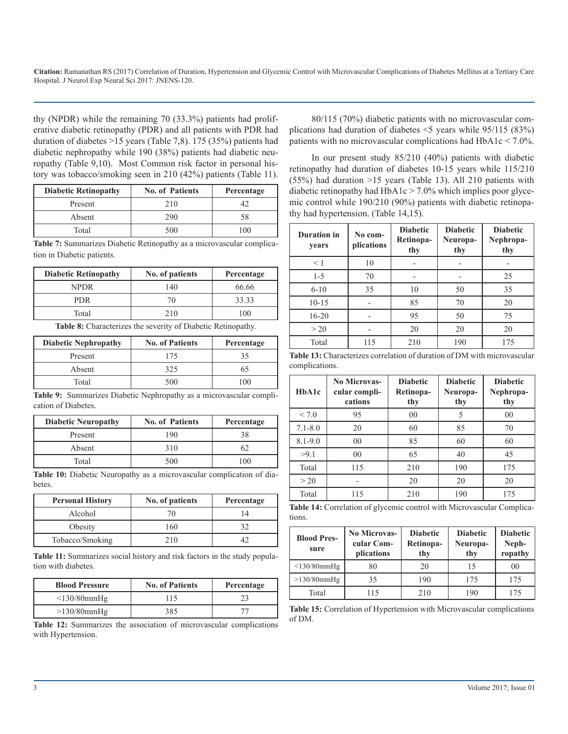thy (NPDR) while the remaining 70 (33.3%) patients had proliferative diabetic retinopathy (PDR) and all patients with PDR had duration of diabetes >15 years (Table 7,8). 175 (35%) patients had diabetic nephropathy while 190 (38%) patients had diabetic neuropathy (Table 9,10). Most Common risk factor in personal history was tobacco/smoking seen in 210 (42%) patients (Table 11).

| <b>Diabetic Retinopathy</b> | <b>No. of Patients</b> | Percentage |
|-----------------------------|------------------------|------------|
| Present                     | 210                    |            |
| Absent                      | 290                    | 58         |
| Total                       | 500                    | m          |

**Table 7:** Summarizes Diabetic Retinopathy as a microvascular complication in Diabetic patients.

| <b>Diabetic Retinopathy</b> | No. of patients | Percentage |
|-----------------------------|-----------------|------------|
| NPDR                        | 140             | 66.66      |
| PDR.                        | 70              | 33.33      |
| Total                       | 210             | 100        |

**Table 8:** Characterizes the severity of Diabetic Retinopathy.

| <b>Diabetic Nephropathy</b> | <b>No. of Patients</b> | Percentage |
|-----------------------------|------------------------|------------|
| Present                     | 175                    | 35         |
| Absent                      | 325                    | რე         |
| Total                       | 500                    | 100        |

**Table 9:** Summarizes Diabetic Nephropathy as a microvascular complication of Diabetes.

| <b>Diabetic Neuropathy</b> | <b>No. of Patients</b> | Percentage |
|----------------------------|------------------------|------------|
| Present                    | 190                    | 38         |
| Absent                     | 310                    |            |
| Total                      | 500                    | 100        |

**Table 10:** Diabetic Neuropathy as a microvascular complication of diabetes.

| <b>Personal History</b> | No. of patients | Percentage |
|-------------------------|-----------------|------------|
| Alcohol                 |                 |            |
| Obesity                 | 160             |            |
| Tobacco/Smoking         | 210             |            |

**Table 11:** Summarizes social history and risk factors in the study population with diabetes.

| <b>Blood Pressure</b> | <b>No. of Patients</b> | Percentage |
|-----------------------|------------------------|------------|
| $\leq$ 130/80mmHg     | 115                    |            |
| $>130/80$ mmHg        | 385                    |            |

**Table 12:** Summarizes the association of microvascular complications with Hypertension.

80/115 (70%) diabetic patients with no microvascular complications had duration of diabetes <5 years while 95/115 (83%) patients with no microvascular complications had HbA1c < 7.0%.

In our present study 85/210 (40%) patients with diabetic retinopathy had duration of diabetes 10-15 years while 115/210 (55%) had duration >15 years (Table 13). All 210 patients with diabetic retinopathy had  $HbA1c > 7.0\%$  which implies poor glycemic control while 190/210 (90%) patients with diabetic retinopathy had hypertension. (Table 14,15).

| <b>Duration</b> in<br>years | No com-<br>plications | <b>Diabetic</b><br>Retinopa-<br>thy | <b>Diabetic</b><br>Neuropa-<br>thy | <b>Diabetic</b><br>Nephropa-<br>thy |
|-----------------------------|-----------------------|-------------------------------------|------------------------------------|-------------------------------------|
| $\leq 1$                    | 10                    |                                     |                                    |                                     |
| $1 - 5$                     | 70                    |                                     |                                    | 25                                  |
| $6 - 10$                    | 35                    | 10                                  | 50                                 | 35                                  |
| $10 - 15$                   |                       | 85                                  | 70                                 | 20                                  |
| $16 - 20$                   |                       | 95                                  | 50                                 | 75                                  |
| >20                         |                       | 20                                  | 20                                 | 20                                  |
| Total                       | 115                   | 210                                 | 190                                | 175                                 |

**Table 13:** Characterizes correlation of duration of DM with microvascular complications.

| HbA1c       | <b>No Microvas-</b><br>cular compli-<br>cations | <b>Diabetic</b><br>Retinopa-<br>thy | <b>Diabetic</b><br>Neuropa-<br>thy | <b>Diabetic</b><br>Nephropa-<br>thy |
|-------------|-------------------------------------------------|-------------------------------------|------------------------------------|-------------------------------------|
| < 7.0       | 95                                              | 00                                  | 5                                  | 00                                  |
| $7.1 - 8.0$ | 20                                              | 60                                  | 85                                 | 70                                  |
| $8.1 - 9.0$ | 00                                              | 85                                  | 60                                 | 60                                  |
| >9.1        | 00                                              | 65                                  | 40                                 | 45                                  |
| Total       | 115                                             | 210                                 | 190                                | 175                                 |
| >20         |                                                 | 20                                  | 20                                 | 20                                  |
| Total       | 115                                             | 210                                 | 190                                | 175                                 |

**Table 14:** Correlation of glycemic control with Microvascular Complications.

| <b>Blood Pres-</b><br>sure | <b>No Microvas-</b><br>cular Com-<br>plications | <b>Diabetic</b><br>Retinopa-<br>thy | <b>Diabetic</b><br>Neuropa-<br>thy | <b>Diabetic</b><br>Neph-<br>ropathy |
|----------------------------|-------------------------------------------------|-------------------------------------|------------------------------------|-------------------------------------|
| $\leq$ 130/80mmHg          | 80                                              | 20                                  | 15                                 | 0 <sup>0</sup>                      |
| $>130/80$ mmHg             | 35                                              | 190                                 | 175                                | 175                                 |
| Total                      | 115                                             | 210                                 | 190                                | 175                                 |

**Table 15:** Correlation of Hypertension with Microvascular complications of DM.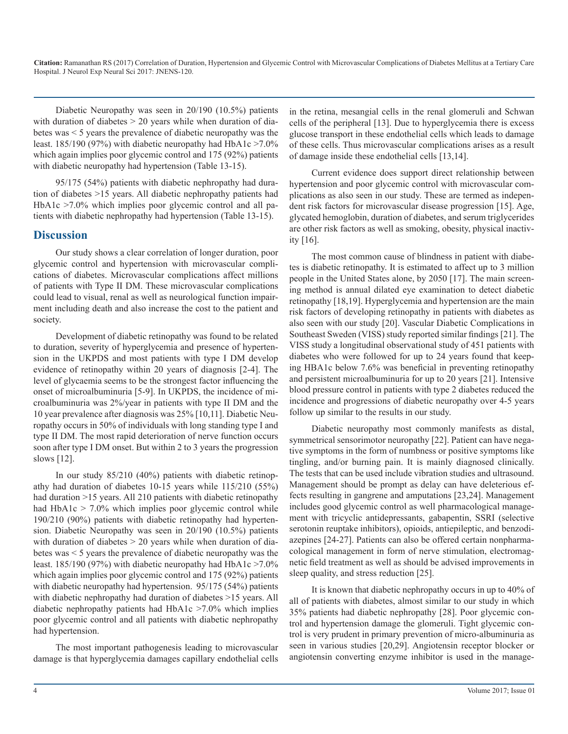Diabetic Neuropathy was seen in 20/190 (10.5%) patients with duration of diabetes  $> 20$  years while when duration of diabetes was < 5 years the prevalence of diabetic neuropathy was the least. 185/190 (97%) with diabetic neuropathy had HbA1c  $>7.0\%$ which again implies poor glycemic control and 175 (92%) patients with diabetic neuropathy had hypertension (Table 13-15).

95/175 (54%) patients with diabetic nephropathy had duration of diabetes >15 years. All diabetic nephropathy patients had HbA1c >7.0% which implies poor glycemic control and all patients with diabetic nephropathy had hypertension (Table 13-15).

#### **Discussion**

Our study shows a clear correlation of longer duration, poor glycemic control and hypertension with microvascular complications of diabetes. Microvascular complications affect millions of patients with Type II DM. These microvascular complications could lead to visual, renal as well as neurological function impairment including death and also increase the cost to the patient and society.

Development of diabetic retinopathy was found to be related to duration, severity of hyperglycemia and presence of hypertension in the UKPDS and most patients with type I DM develop evidence of retinopathy within 20 years of diagnosis [2-4]. The level of glycaemia seems to be the strongest factor influencing the onset of microalbuminuria [5-9]. In UKPDS, the incidence of microalbuminuria was 2%/year in patients with type II DM and the 10 year prevalence after diagnosis was 25% [10,11]. Diabetic Neuropathy occurs in 50% of individuals with long standing type I and type II DM. The most rapid deterioration of nerve function occurs soon after type I DM onset. But within 2 to 3 years the progression slows [12].

In our study 85/210 (40%) patients with diabetic retinopathy had duration of diabetes 10-15 years while 115/210 (55%) had duration >15 years. All 210 patients with diabetic retinopathy had  $HbA1c > 7.0\%$  which implies poor glycemic control while 190/210 (90%) patients with diabetic retinopathy had hypertension. Diabetic Neuropathy was seen in 20/190 (10.5%) patients with duration of diabetes  $> 20$  years while when duration of diabetes was < 5 years the prevalence of diabetic neuropathy was the least. 185/190 (97%) with diabetic neuropathy had HbA1c  $>7.0\%$ which again implies poor glycemic control and 175 (92%) patients with diabetic neuropathy had hypertension. 95/175 (54%) patients with diabetic nephropathy had duration of diabetes >15 years. All diabetic nephropathy patients had HbA1c >7.0% which implies poor glycemic control and all patients with diabetic nephropathy had hypertension.

The most important pathogenesis leading to microvascular damage is that hyperglycemia damages capillary endothelial cells

in the retina, mesangial cells in the renal glomeruli and Schwan cells of the peripheral [13]. Due to hyperglycemia there is excess glucose transport in these endothelial cells which leads to damage of these cells. Thus microvascular complications arises as a result of damage inside these endothelial cells [13,14].

Current evidence does support direct relationship between hypertension and poor glycemic control with microvascular complications as also seen in our study. These are termed as independent risk factors for microvascular disease progression [15]. Age, glycated hemoglobin, duration of diabetes, and serum triglycerides are other risk factors as well as smoking, obesity, physical inactivity [16].

The most common cause of blindness in patient with diabetes is diabetic retinopathy. It is estimated to affect up to 3 million people in the United States alone, by 2050 [17]. The main screening method is annual dilated eye examination to detect diabetic retinopathy [18,19]. Hyperglycemia and hypertension are the main risk factors of developing retinopathy in patients with diabetes as also seen with our study [20]. Vascular Diabetic Complications in Southeast Sweden (VISS) study reported similar findings [21]. The VISS study a longitudinal observational study of 451 patients with diabetes who were followed for up to 24 years found that keeping HBA1c below 7.6% was beneficial in preventing retinopathy and persistent microalbuminuria for up to 20 years [21]. Intensive blood pressure control in patients with type 2 diabetes reduced the incidence and progressions of diabetic neuropathy over 4-5 years follow up similar to the results in our study.

Diabetic neuropathy most commonly manifests as distal, symmetrical sensorimotor neuropathy [22]. Patient can have negative symptoms in the form of numbness or positive symptoms like tingling, and/or burning pain. It is mainly diagnosed clinically. The tests that can be used include vibration studies and ultrasound. Management should be prompt as delay can have deleterious effects resulting in gangrene and amputations [23,24]. Management includes good glycemic control as well pharmacological management with tricyclic antidepressants, gabapentin, SSRI (selective serotonin reuptake inhibitors), opioids, antiepileptic, and benzodiazepines [24-27]. Patients can also be offered certain nonpharmacological management in form of nerve stimulation, electromagnetic field treatment as well as should be advised improvements in sleep quality, and stress reduction [25].

It is known that diabetic nephropathy occurs in up to 40% of all of patients with diabetes, almost similar to our study in which 35% patients had diabetic nephropathy [28]. Poor glycemic control and hypertension damage the glomeruli. Tight glycemic control is very prudent in primary prevention of micro-albuminuria as seen in various studies [20,29]. Angiotensin receptor blocker or angiotensin converting enzyme inhibitor is used in the manage-